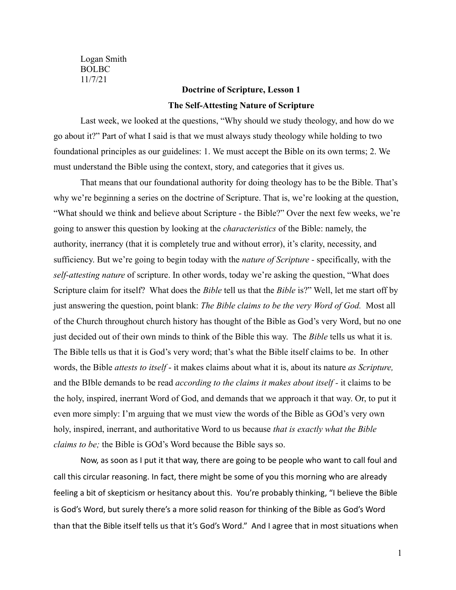Logan Smith BOLBC 11/7/21

# **Doctrine of Scripture, Lesson 1 The Self-Attesting Nature of Scripture**

Last week, we looked at the questions, "Why should we study theology, and how do we go about it?" Part of what I said is that we must always study theology while holding to two foundational principles as our guidelines: 1. We must accept the Bible on its own terms; 2. We must understand the Bible using the context, story, and categories that it gives us.

That means that our foundational authority for doing theology has to be the Bible. That's why we're beginning a series on the doctrine of Scripture. That is, we're looking at the question, "What should we think and believe about Scripture - the Bible?" Over the next few weeks, we're going to answer this question by looking at the *characteristics* of the Bible: namely, the authority, inerrancy (that it is completely true and without error), it's clarity, necessity, and sufficiency. But we're going to begin today with the *nature of Scripture -* specifically, with the *self-attesting nature* of scripture. In other words, today we're asking the question, "What does Scripture claim for itself? What does the *Bible* tell us that the *Bible* is?" Well, let me start off by just answering the question, point blank: *The Bible claims to be the very Word of God.* Most all of the Church throughout church history has thought of the Bible as God's very Word, but no one just decided out of their own minds to think of the Bible this way. The *Bible* tells us what it is. The Bible tells us that it is God's very word; that's what the Bible itself claims to be. In other words, the Bible *attests to itself* - it makes claims about what it is, about its nature *as Scripture,* and the BIble demands to be read *according to the claims it makes about itself -* it claims to be the holy, inspired, inerrant Word of God, and demands that we approach it that way. Or, to put it even more simply: I'm arguing that we must view the words of the Bible as GOd's very own holy, inspired, inerrant, and authoritative Word to us because *that is exactly what the Bible claims to be;* the Bible is GOd's Word because the Bible says so.

Now, as soon as I put it that way, there are going to be people who want to call foul and call this circular reasoning. In fact, there might be some of you this morning who are already feeling a bit of skepticism or hesitancy about this. You're probably thinking, "I believe the Bible is God's Word, but surely there's a more solid reason for thinking of the Bible as God's Word than that the Bible itself tells us that it's God's Word." And I agree that in most situations when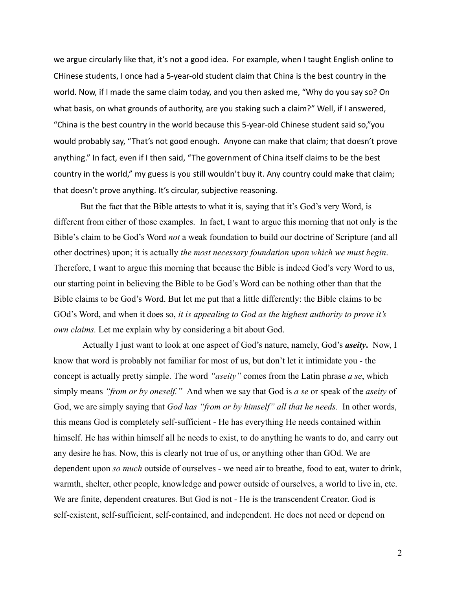we argue circularly like that, it's not a good idea. For example, when I taught English online to CHinese students, I once had a 5-year-old student claim that China is the best country in the world. Now, if I made the same claim today, and you then asked me, "Why do you say so? On what basis, on what grounds of authority, are you staking such a claim?" Well, if I answered, "China is the best country in the world because this 5-year-old Chinese student said so,"you would probably say, "That's not good enough. Anyone can make that claim; that doesn't prove anything." In fact, even if I then said, "The government of China itself claims to be the best country in the world," my guess is you still wouldn't buy it. Any country could make that claim; that doesn't prove anything. It's circular, subjective reasoning.

But the fact that the Bible attests to what it is, saying that it's God's very Word, is different from either of those examples. In fact, I want to argue this morning that not only is the Bible's claim to be God's Word *not* a weak foundation to build our doctrine of Scripture (and all other doctrines) upon; it is actually *the most necessary foundation upon which we must begin*. Therefore, I want to argue this morning that because the Bible is indeed God's very Word to us, our starting point in believing the Bible to be God's Word can be nothing other than that the Bible claims to be God's Word. But let me put that a little differently: the Bible claims to be GOd's Word, and when it does so, *it is appealing to God as the highest authority to prove it's own claims.* Let me explain why by considering a bit about God.

Actually I just want to look at one aspect of God's nature, namely, God's *aseity***.** Now, I know that word is probably not familiar for most of us, but don't let it intimidate you - the concept is actually pretty simple. The word *"aseity"* comes from the Latin phrase *a se*, which simply means *"from or by oneself."* And when we say that God is *a se* or speak of the *aseity* of God, we are simply saying that *God has "from or by himself" all that he needs.* In other words, this means God is completely self-sufficient - He has everything He needs contained within himself. He has within himself all he needs to exist, to do anything he wants to do, and carry out any desire he has. Now, this is clearly not true of us, or anything other than GOd. We are dependent upon *so much* outside of ourselves - we need air to breathe, food to eat, water to drink, warmth, shelter, other people, knowledge and power outside of ourselves, a world to live in, etc. We are finite, dependent creatures. But God is not - He is the transcendent Creator. God is self-existent, self-sufficient, self-contained, and independent. He does not need or depend on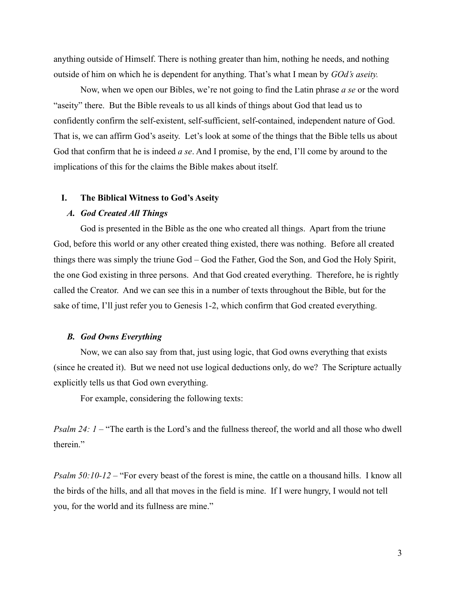anything outside of Himself. There is nothing greater than him, nothing he needs, and nothing outside of him on which he is dependent for anything. That's what I mean by *GOd's aseity.*

Now, when we open our Bibles, we're not going to find the Latin phrase *a se* or the word "aseity" there. But the Bible reveals to us all kinds of things about God that lead us to confidently confirm the self-existent, self-sufficient, self-contained, independent nature of God. That is, we can affirm God's aseity. Let's look at some of the things that the Bible tells us about God that confirm that he is indeed *a se*. And I promise, by the end, I'll come by around to the implications of this for the claims the Bible makes about itself.

#### **I. The Biblical Witness to God's Aseity**

# *A. God Created All Things*

God is presented in the Bible as the one who created all things. Apart from the triune God, before this world or any other created thing existed, there was nothing. Before all created things there was simply the triune God – God the Father, God the Son, and God the Holy Spirit, the one God existing in three persons. And that God created everything. Therefore, he is rightly called the Creator. And we can see this in a number of texts throughout the Bible, but for the sake of time, I'll just refer you to Genesis 1-2, which confirm that God created everything.

# *B. God Owns Everything*

Now, we can also say from that, just using logic, that God owns everything that exists (since he created it). But we need not use logical deductions only, do we? The Scripture actually explicitly tells us that God own everything.

For example, considering the following texts:

*Psalm 24: 1* – "The earth is the Lord's and the fullness thereof, the world and all those who dwell therein<sup>"</sup>

*Psalm 50:10-12* – "For every beast of the forest is mine, the cattle on a thousand hills. I know all the birds of the hills, and all that moves in the field is mine. If I were hungry, I would not tell you, for the world and its fullness are mine."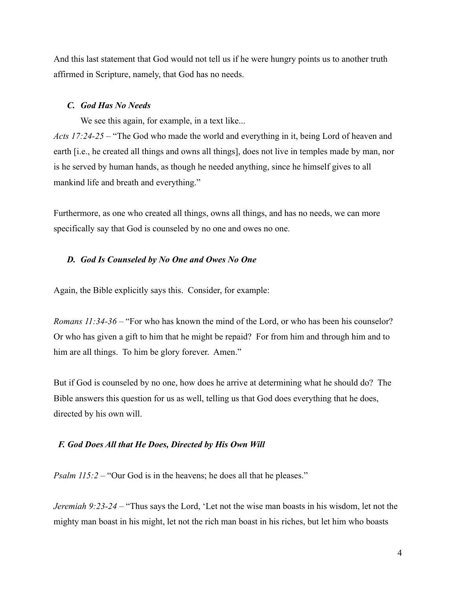And this last statement that God would not tell us if he were hungry points us to another truth affirmed in Scripture, namely, that God has no needs.

#### *C. God Has No Needs*

We see this again, for example, in a text like...

*Acts 17:24-25 –* "The God who made the world and everything in it, being Lord of heaven and earth [i.e., he created all things and owns all things], does not live in temples made by man, nor is he served by human hands, as though he needed anything, since he himself gives to all mankind life and breath and everything."

Furthermore, as one who created all things, owns all things, and has no needs, we can more specifically say that God is counseled by no one and owes no one.

## *D. God Is Counseled by No One and Owes No One*

Again, the Bible explicitly says this. Consider, for example:

*Romans 11:34-36 –* "For who has known the mind of the Lord, or who has been his counselor? Or who has given a gift to him that he might be repaid? For from him and through him and to him are all things. To him be glory forever. Amen."

But if God is counseled by no one, how does he arrive at determining what he should do? The Bible answers this question for us as well, telling us that God does everything that he does, directed by his own will.

#### *F. God Does All that He Does, Directed by His Own Will*

*Psalm 115:2* – "Our God is in the heavens; he does all that he pleases."

*Jeremiah 9:23-24 –* "Thus says the Lord, 'Let not the wise man boasts in his wisdom, let not the mighty man boast in his might, let not the rich man boast in his riches, but let him who boasts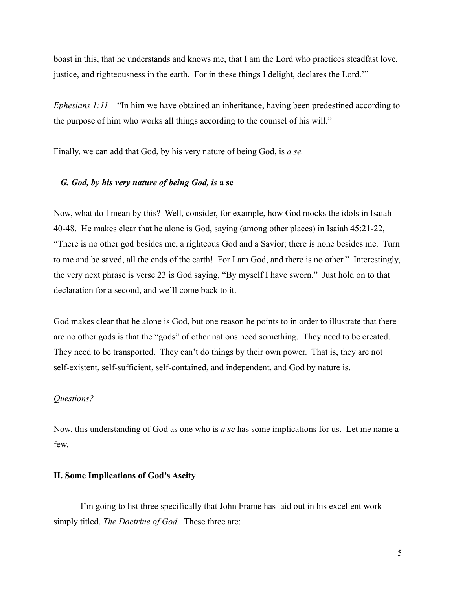boast in this, that he understands and knows me, that I am the Lord who practices steadfast love, justice, and righteousness in the earth. For in these things I delight, declares the Lord.'"

*Ephesians 1:11 –* "In him we have obtained an inheritance, having been predestined according to the purpose of him who works all things according to the counsel of his will."

Finally, we can add that God, by his very nature of being God, is *a se.*

## *G. God, by his very nature of being God, is* **a se**

Now, what do I mean by this? Well, consider, for example, how God mocks the idols in Isaiah 40-48. He makes clear that he alone is God, saying (among other places) in Isaiah 45:21-22, "There is no other god besides me, a righteous God and a Savior; there is none besides me. Turn to me and be saved, all the ends of the earth! For I am God, and there is no other." Interestingly, the very next phrase is verse 23 is God saying, "By myself I have sworn." Just hold on to that declaration for a second, and we'll come back to it.

God makes clear that he alone is God, but one reason he points to in order to illustrate that there are no other gods is that the "gods" of other nations need something. They need to be created. They need to be transported. They can't do things by their own power. That is, they are not self-existent, self-sufficient, self-contained, and independent, and God by nature is.

# *Questions?*

Now, this understanding of God as one who is *a se* has some implications for us. Let me name a few.

#### **II. Some Implications of God's Aseity**

I'm going to list three specifically that John Frame has laid out in his excellent work simply titled, *The Doctrine of God.* These three are: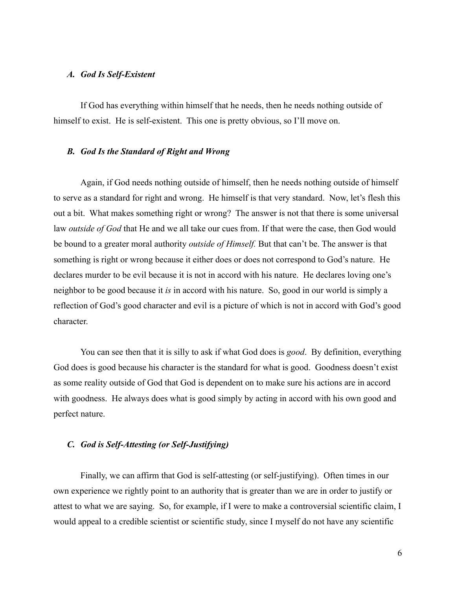#### *A. God Is Self-Existent*

If God has everything within himself that he needs, then he needs nothing outside of himself to exist. He is self-existent. This one is pretty obvious, so I'll move on.

#### *B. God Is the Standard of Right and Wrong*

Again, if God needs nothing outside of himself, then he needs nothing outside of himself to serve as a standard for right and wrong. He himself is that very standard. Now, let's flesh this out a bit. What makes something right or wrong? The answer is not that there is some universal law *outside of God* that He and we all take our cues from. If that were the case, then God would be bound to a greater moral authority *outside of Himself.* But that can't be. The answer is that something is right or wrong because it either does or does not correspond to God's nature. He declares murder to be evil because it is not in accord with his nature. He declares loving one's neighbor to be good because it *is* in accord with his nature. So, good in our world is simply a reflection of God's good character and evil is a picture of which is not in accord with God's good character.

You can see then that it is silly to ask if what God does is *good*. By definition, everything God does is good because his character is the standard for what is good. Goodness doesn't exist as some reality outside of God that God is dependent on to make sure his actions are in accord with goodness. He always does what is good simply by acting in accord with his own good and perfect nature.

#### *C. God is Self-Attesting (or Self-Justifying)*

Finally, we can affirm that God is self-attesting (or self-justifying). Often times in our own experience we rightly point to an authority that is greater than we are in order to justify or attest to what we are saying. So, for example, if I were to make a controversial scientific claim, I would appeal to a credible scientist or scientific study, since I myself do not have any scientific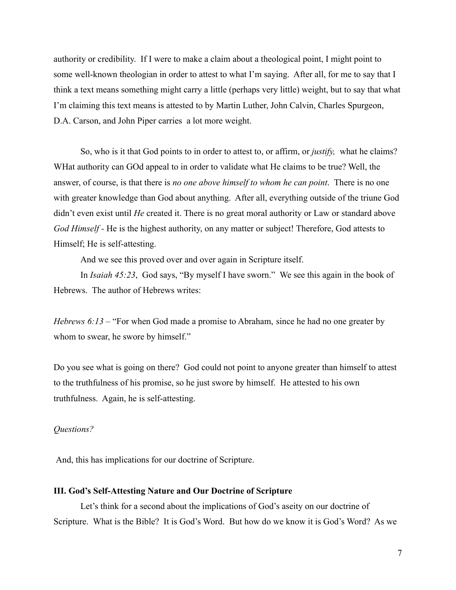authority or credibility. If I were to make a claim about a theological point, I might point to some well-known theologian in order to attest to what I'm saying. After all, for me to say that I think a text means something might carry a little (perhaps very little) weight, but to say that what I'm claiming this text means is attested to by Martin Luther, John Calvin, Charles Spurgeon, D.A. Carson, and John Piper carries a lot more weight.

So, who is it that God points to in order to attest to, or affirm, or *justify,* what he claims? WHat authority can GOd appeal to in order to validate what He claims to be true? Well, the answer, of course, is that there is *no one above himself to whom he can point*. There is no one with greater knowledge than God about anything. After all, everything outside of the triune God didn't even exist until *He* created it. There is no great moral authority or Law or standard above *God Himself -* He is the highest authority, on any matter or subject! Therefore, God attests to Himself; He is self-attesting.

And we see this proved over and over again in Scripture itself.

In *Isaiah 45:23*, God says, "By myself I have sworn." We see this again in the book of Hebrews. The author of Hebrews writes:

*Hebrews 6:13* – "For when God made a promise to Abraham, since he had no one greater by whom to swear, he swore by himself."

Do you see what is going on there? God could not point to anyone greater than himself to attest to the truthfulness of his promise, so he just swore by himself. He attested to his own truthfulness. Again, he is self-attesting.

#### *Questions?*

And, this has implications for our doctrine of Scripture.

## **III. God's Self-Attesting Nature and Our Doctrine of Scripture**

Let's think for a second about the implications of God's aseity on our doctrine of Scripture. What is the Bible? It is God's Word. But how do we know it is God's Word? As we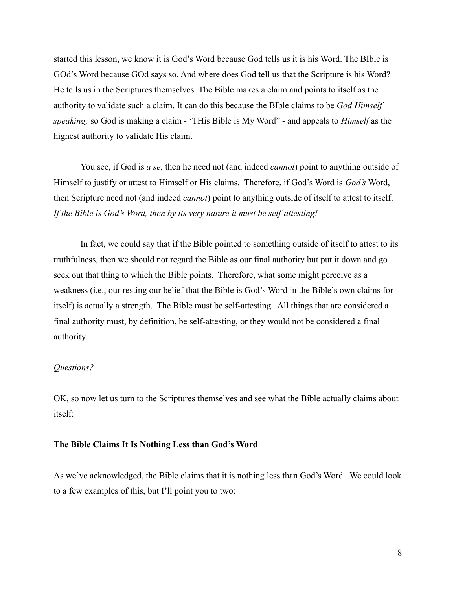started this lesson, we know it is God's Word because God tells us it is his Word. The BIble is GOd's Word because GOd says so. And where does God tell us that the Scripture is his Word? He tells us in the Scriptures themselves. The Bible makes a claim and points to itself as the authority to validate such a claim. It can do this because the BIble claims to be *God Himself speaking;* so God is making a claim - 'THis Bible is My Word" - and appeals to *Himself* as the highest authority to validate His claim.

You see, if God is *a se*, then he need not (and indeed *cannot*) point to anything outside of Himself to justify or attest to Himself or His claims. Therefore, if God's Word is *God's* Word, then Scripture need not (and indeed *cannot*) point to anything outside of itself to attest to itself. *If the Bible is God's Word, then by its very nature it must be self-attesting!*

In fact, we could say that if the Bible pointed to something outside of itself to attest to its truthfulness, then we should not regard the Bible as our final authority but put it down and go seek out that thing to which the Bible points. Therefore, what some might perceive as a weakness (i.e., our resting our belief that the Bible is God's Word in the Bible's own claims for itself) is actually a strength. The Bible must be self-attesting. All things that are considered a final authority must, by definition, be self-attesting, or they would not be considered a final authority.

#### *Questions?*

OK, so now let us turn to the Scriptures themselves and see what the Bible actually claims about itself:

#### **The Bible Claims It Is Nothing Less than God's Word**

As we've acknowledged, the Bible claims that it is nothing less than God's Word. We could look to a few examples of this, but I'll point you to two: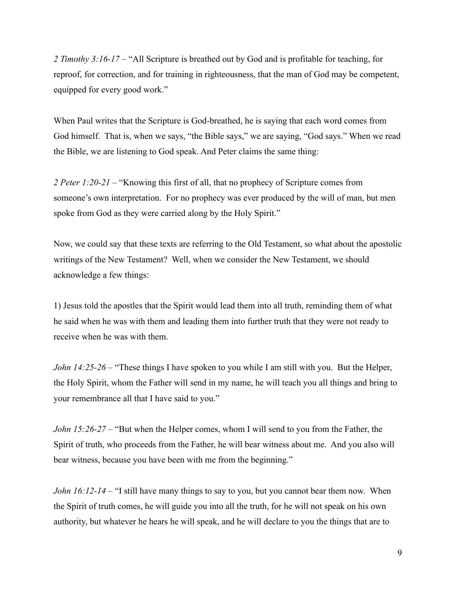*2 Timothy 3:16-17 –* "All Scripture is breathed out by God and is profitable for teaching, for reproof, for correction, and for training in righteousness, that the man of God may be competent, equipped for every good work."

When Paul writes that the Scripture is God-breathed, he is saying that each word comes from God himself. That is, when we says, "the Bible says," we are saying, "God says." When we read the Bible, we are listening to God speak. And Peter claims the same thing:

*2 Peter 1:20-21 –* "Knowing this first of all, that no prophecy of Scripture comes from someone's own interpretation. For no prophecy was ever produced by the will of man, but men spoke from God as they were carried along by the Holy Spirit."

Now, we could say that these texts are referring to the Old Testament, so what about the apostolic writings of the New Testament? Well, when we consider the New Testament, we should acknowledge a few things:

1) Jesus told the apostles that the Spirit would lead them into all truth, reminding them of what he said when he was with them and leading them into further truth that they were not ready to receive when he was with them.

*John 14:25-26 –* "These things I have spoken to you while I am still with you. But the Helper, the Holy Spirit, whom the Father will send in my name, he will teach you all things and bring to your remembrance all that I have said to you."

*John 15:26-27 –* "But when the Helper comes, whom I will send to you from the Father, the Spirit of truth, who proceeds from the Father, he will bear witness about me. And you also will bear witness, because you have been with me from the beginning."

*John 16:12-14* – "I still have many things to say to you, but you cannot bear them now. When the Spirit of truth comes, he will guide you into all the truth, for he will not speak on his own authority, but whatever he hears he will speak, and he will declare to you the things that are to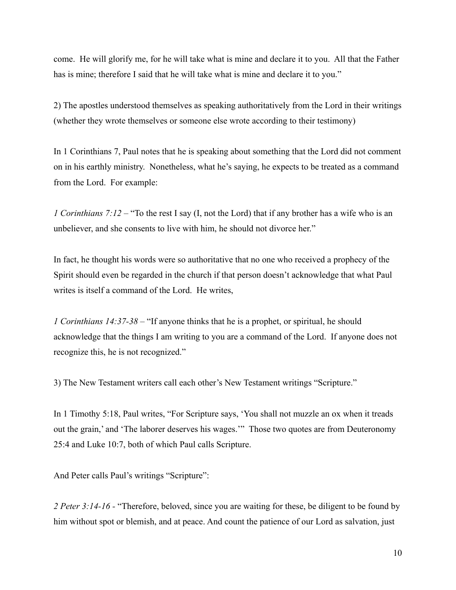come. He will glorify me, for he will take what is mine and declare it to you. All that the Father has is mine; therefore I said that he will take what is mine and declare it to you."

2) The apostles understood themselves as speaking authoritatively from the Lord in their writings (whether they wrote themselves or someone else wrote according to their testimony)

In 1 Corinthians 7, Paul notes that he is speaking about something that the Lord did not comment on in his earthly ministry. Nonetheless, what he's saying, he expects to be treated as a command from the Lord. For example:

*1 Corinthians 7:12* – "To the rest I say (I, not the Lord) that if any brother has a wife who is an unbeliever, and she consents to live with him, he should not divorce her."

In fact, he thought his words were so authoritative that no one who received a prophecy of the Spirit should even be regarded in the church if that person doesn't acknowledge that what Paul writes is itself a command of the Lord. He writes,

*1 Corinthians 14:37-38 –* "If anyone thinks that he is a prophet, or spiritual, he should acknowledge that the things I am writing to you are a command of the Lord. If anyone does not recognize this, he is not recognized."

3) The New Testament writers call each other's New Testament writings "Scripture."

In 1 Timothy 5:18, Paul writes, "For Scripture says, 'You shall not muzzle an ox when it treads out the grain,' and 'The laborer deserves his wages.'" Those two quotes are from Deuteronomy 25:4 and Luke 10:7, both of which Paul calls Scripture.

And Peter calls Paul's writings "Scripture":

*2 Peter 3:14-16 -* "Therefore, beloved, since you are waiting for these, be diligent to be found by him without spot or blemish, and at peace. And count the patience of our Lord as salvation, just